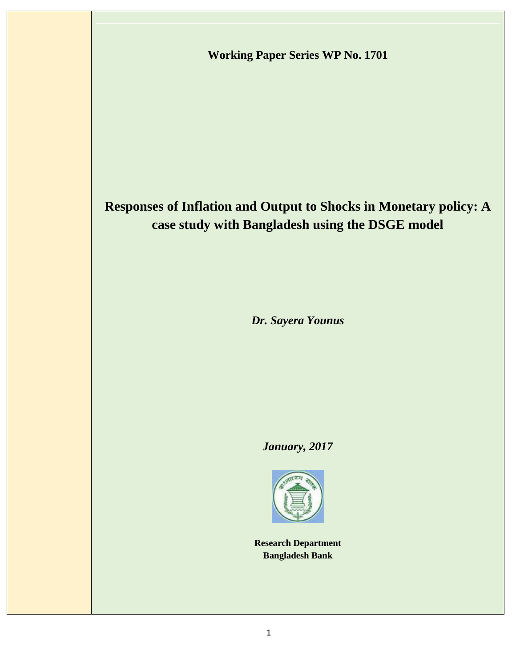**Working Paper Series WP No. 1701**

# **Responses of Inflation and Output to Shocks in Monetary policy: A case study with Bangladesh using the DSGE model**

*Dr. Sayera Younus*

# *January, 2017*



**Research Department Bangladesh Bank**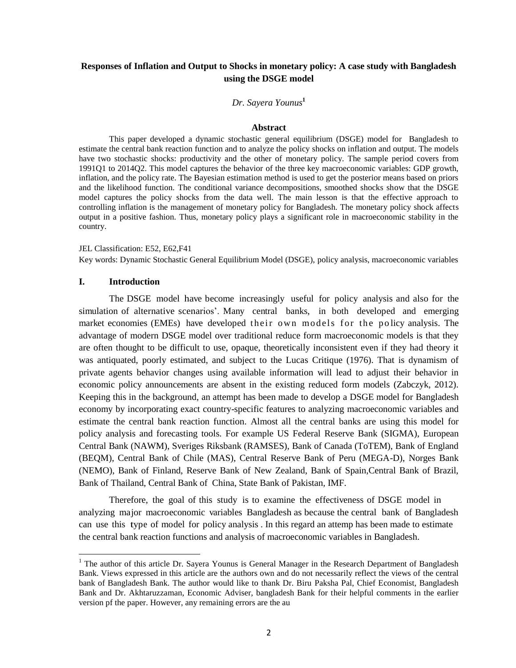# **Responses of Inflation and Output to Shocks in monetary policy: A case study with Bangladesh using the DSGE model**

# *Dr. Sayera Younus***<sup>1</sup>**

#### **Abstract**

This paper developed a dynamic stochastic general equilibrium (DSGE) model for Bangladesh to estimate the central bank reaction function and to analyze the policy shocks on inflation and output. The models have two stochastic shocks: productivity and the other of monetary policy. The sample period covers from 1991Q1 to 2014Q2. This model captures the behavior of the three key macroeconomic variables: GDP growth, inflation, and the policy rate. The Bayesian estimation method is used to get the posterior means based on priors and the likelihood function. The conditional variance decompositions, smoothed shocks show that the DSGE model captures the policy shocks from the data well. The main lesson is that the effective approach to controlling inflation is the management of monetary policy for Bangladesh. The monetary policy shock affects output in a positive fashion. Thus, monetary policy plays a significant role in macroeconomic stability in the country.

JEL Classification: E52, E62,F41 Key words: Dynamic Stochastic General Equilibrium Model (DSGE), policy analysis, macroeconomic variables

#### **I. Introduction**

 $\ddot{\phantom{a}}$ 

The DSGE model have become increasingly useful for policy analysis and also for the simulation of alternative scenarios'. Many central banks, in both developed and emerging market economies (EMEs) have developed their own models for the policy analysis. The advantage of modern DSGE model over traditional reduce form macroeconomic models is that they are often thought to be difficult to use, opaque, theoretically inconsistent even if they had theory it was antiquated, poorly estimated, and subject to the Lucas Critique (1976). That is dynamism of private agents behavior changes using available information will lead to adjust their behavior in economic policy announcements are absent in the existing reduced form models (Zabczyk, 2012). Keeping this in the background, an attempt has been made to develop a DSGE model for Bangladesh economy by incorporating exact country-specific features to analyzing macroeconomic variables and estimate the central bank reaction function. Almost all the central banks are using this model for policy analysis and forecasting tools. For example US Federal Reserve Bank (SIGMA), European Central Bank (NAWM), Sveriges Riksbank (RAMSES), Bank of Canada (ToTEM), Bank of England (BEQM), Central Bank of Chile (MAS), Central Reserve Bank of Peru (MEGA-D), Norges Bank (NEMO), Bank of Finland, Reserve Bank of New Zealand, Bank of Spain,Central Bank of Brazil, Bank of Thailand, Central Bank of China, State Bank of Pakistan, IMF.

Therefore, the goal of this study is to examine the effectiveness of DSGE model in analyzing major macroeconomic variables Bangladesh as because the central bank of Bangladesh can use this type of model for policy analysis . In this regard an attemp has been made to estimate the central bank reaction functions and analysis of macroeconomic variables in Bangladesh.

 $1$  The author of this article Dr. Sayera Younus is General Manager in the Research Department of Bangladesh Bank. Views expressed in this article are the authors own and do not necessarily reflect the views of the central bank of Bangladesh Bank. The author would like to thank Dr. Biru Paksha Pal, Chief Economist, Bangladesh Bank and Dr. Akhtaruzzaman, Economic Adviser, bangladesh Bank for their helpful comments in the earlier version pf the paper. However, any remaining errors are the au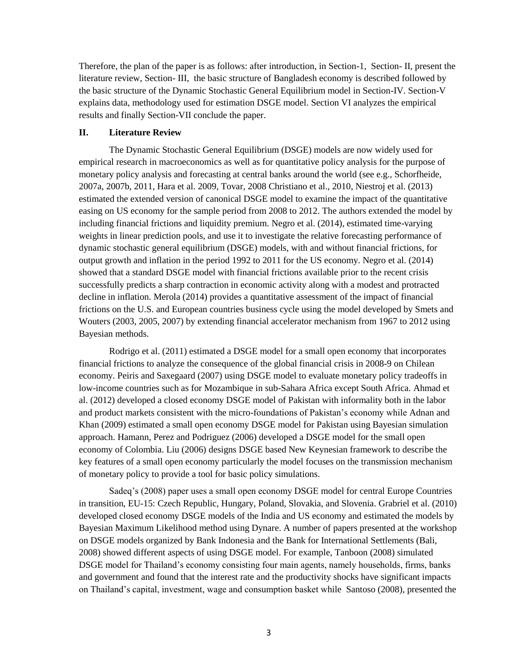Therefore, the plan of the paper is as follows: after introduction, in Section-1, Section- II, present the literature review, Section- III, the basic structure of Bangladesh economy is described followed by the basic structure of the Dynamic Stochastic General Equilibrium model in Section-IV. Section-V explains data, methodology used for estimation DSGE model. Section VI analyzes the empirical results and finally Section-VII conclude the paper.

#### **II. Literature Review**

The Dynamic Stochastic General Equilibrium (DSGE) models are now widely used for empirical research in macroeconomics as well as for quantitative policy analysis for the purpose of monetary policy analysis and forecasting at central banks around the world (see e.g., Schorfheide, 2007a, 2007b, 2011, Hara et al. 2009, Tovar, 2008 Christiano et al., 2010, Niestroj et al. (2013) estimated the extended version of canonical DSGE model to examine the impact of the quantitative easing on US economy for the sample period from 2008 to 2012. The authors extended the model by including financial frictions and liquidity premium. Negro et al. (2014), estimated time-varying weights in linear prediction pools, and use it to investigate the relative forecasting performance of dynamic stochastic general equilibrium (DSGE) models, with and without financial frictions, for output growth and inflation in the period 1992 to 2011 for the US economy. Negro et al. (2014) showed that a standard DSGE model with financial frictions available prior to the recent crisis successfully predicts a sharp contraction in economic activity along with a modest and protracted decline in inflation. Merola (2014) provides a quantitative assessment of the impact of financial frictions on the U.S. and European countries business cycle using the model developed by Smets and Wouters (2003, 2005, 2007) by extending financial accelerator mechanism from 1967 to 2012 using Bayesian methods.

Rodrigo et al. (2011) estimated a DSGE model for a small open economy that incorporates financial frictions to analyze the consequence of the global financial crisis in 2008-9 on Chilean economy. Peiris and Saxegaard (2007) using DSGE model to evaluate monetary policy tradeoffs in low-income countries such as for Mozambique in sub-Sahara Africa except South Africa. Ahmad et al. (2012) developed a closed economy DSGE model of Pakistan with informality both in the labor and product markets consistent with the micro-foundations of Pakistan's economy while Adnan and Khan (2009) estimated a small open economy DSGE model for Pakistan using Bayesian simulation approach. Hamann, Perez and Podriguez (2006) developed a DSGE model for the small open economy of Colombia. Liu (2006) designs DSGE based New Keynesian framework to describe the key features of a small open economy particularly the model focuses on the transmission mechanism of monetary policy to provide a tool for basic policy simulations.

Sadeq's (2008) paper uses a small open economy DSGE model for central Europe Countries in transition, EU-15: Czech Republic, Hungary, Poland, Slovakia, and Slovenia. Grabriel et al. (2010) developed closed economy DSGE models of the India and US economy and estimated the models by Bayesian Maximum Likelihood method using Dynare. A number of papers presented at the workshop on DSGE models organized by Bank Indonesia and the Bank for International Settlements (Bali, 2008) showed different aspects of using DSGE model. For example, Tanboon (2008) simulated DSGE model for Thailand's economy consisting four main agents, namely households, firms, banks and government and found that the interest rate and the productivity shocks have significant impacts on Thailand's capital, investment, wage and consumption basket while Santoso (2008), presented the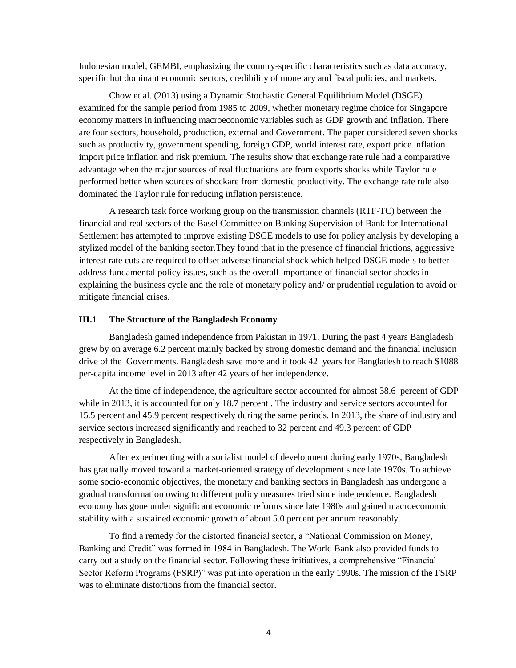Indonesian model, GEMBI, emphasizing the country-specific characteristics such as data accuracy, specific but dominant economic sectors, credibility of monetary and fiscal policies, and markets.

Chow et al. (2013) using a Dynamic Stochastic General Equilibrium Model (DSGE) examined for the sample period from 1985 to 2009, whether monetary regime choice for Singapore economy matters in influencing macroeconomic variables such as GDP growth and Inflation. There are four sectors, household, production, external and Government. The paper considered seven shocks such as productivity, government spending, foreign GDP, world interest rate, export price inflation import price inflation and risk premium. The results show that exchange rate rule had a comparative advantage when the major sources of real fluctuations are from exports shocks while Taylor rule performed better when sources of shockare from domestic productivity. The exchange rate rule also dominated the Taylor rule for reducing inflation persistence.

A research task force working group on the transmission channels (RTF-TC) between the financial and real sectors of the Basel Committee on Banking Supervision of Bank for International Settlement has attempted to improve existing DSGE models to use for policy analysis by developing a stylized model of the banking sector.They found that in the presence of financial frictions, aggressive interest rate cuts are required to offset adverse financial shock which helped DSGE models to better address fundamental policy issues, such as the overall importance of financial sector shocks in explaining the business cycle and the role of monetary policy and/ or prudential regulation to avoid or mitigate financial crises.

# **III.1 The Structure of the Bangladesh Economy**

Bangladesh gained independence from Pakistan in 1971. During the past 4 years Bangladesh grew by on average 6.2 percent mainly backed by strong domestic demand and the financial inclusion drive of the Governments. Bangladesh save more and it took 42 years for Bangladesh to reach \$1088 per-capita income level in 2013 after 42 years of her independence.

At the time of independence, the agriculture sector accounted for almost 38.6 percent of GDP while in 2013, it is accounted for only 18.7 percent. The industry and service sectors accounted for 15.5 percent and 45.9 percent respectively during the same periods. In 2013, the share of industry and service sectors increased significantly and reached to 32 percent and 49.3 percent of GDP respectively in Bangladesh.

After experimenting with a socialist model of development during early 1970s, Bangladesh has gradually moved toward a market-oriented strategy of development since late 1970s. To achieve some socio-economic objectives, the monetary and banking sectors in Bangladesh has undergone a gradual transformation owing to different policy measures tried since independence. Bangladesh economy has gone under significant economic reforms since late 1980s and gained macroeconomic stability with a sustained economic growth of about 5.0 percent per annum reasonably.

To find a remedy for the distorted financial sector, a "National Commission on Money, Banking and Credit" was formed in 1984 in Bangladesh. The World Bank also provided funds to carry out a study on the financial sector. Following these initiatives, a comprehensive "Financial Sector Reform Programs (FSRP)" was put into operation in the early 1990s. The mission of the FSRP was to eliminate distortions from the financial sector.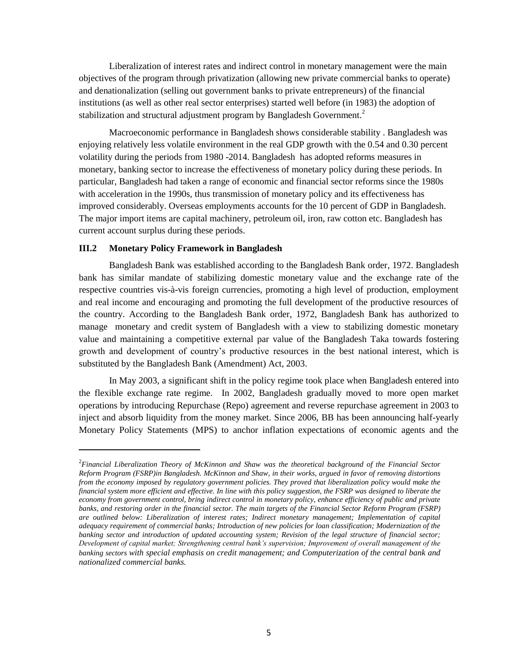Liberalization of interest rates and indirect control in monetary management were the main objectives of the program through privatization (allowing new private commercial banks to operate) and denationalization (selling out government banks to private entrepreneurs) of the financial institutions (as well as other real sector enterprises) started well before (in 1983) the adoption of stabilization and structural adjustment program by Bangladesh Government.<sup>2</sup>

Macroeconomic performance in Bangladesh shows considerable stability . Bangladesh was enjoying relatively less volatile environment in the real GDP growth with the 0.54 and 0.30 percent volatility during the periods from 1980 -2014. Bangladesh has adopted reforms measures in monetary, banking sector to increase the effectiveness of monetary policy during these periods. In particular, Bangladesh had taken a range of economic and financial sector reforms since the 1980s with acceleration in the 1990s, thus transmission of monetary policy and its effectiveness has improved considerably. Overseas employments accounts for the 10 percent of GDP in Bangladesh. The major import items are capital machinery, petroleum oil, iron, raw cotton etc. Bangladesh has current account surplus during these periods.

#### **III.2 Monetary Policy Framework in Bangladesh**

 $\overline{a}$ 

Bangladesh Bank was established according to the Bangladesh Bank order, 1972. Bangladesh bank has similar mandate of stabilizing domestic monetary value and the exchange rate of the respective countries vis-à-vis foreign currencies, promoting a high level of production, employment and real income and encouraging and promoting the full development of the productive resources of the country. According to the Bangladesh Bank order, 1972, Bangladesh Bank has authorized to manage monetary and credit system of Bangladesh with a view to stabilizing domestic monetary value and maintaining a competitive external par value of the Bangladesh Taka towards fostering growth and development of country's productive resources in the best national interest, which is substituted by the Bangladesh Bank (Amendment) Act, 2003.

In May 2003, a significant shift in the policy regime took place when Bangladesh entered into the flexible exchange rate regime. In 2002, Bangladesh gradually moved to more open market operations by introducing Repurchase (Repo) agreement and reverse repurchase agreement in 2003 to inject and absorb liquidity from the money market. Since 2006, BB has been announcing half-yearly Monetary Policy Statements (MPS) to anchor inflation expectations of economic agents and the

<sup>2</sup> *Financial Liberalization Theory of McKinnon and Shaw was the theoretical background of the Financial Sector Reform Program (FSRP)in Bangladesh. McKinnon and Shaw, in their works, argued in favor of removing distortions from the economy imposed by regulatory government policies. They proved that liberalization policy would make the financial system more efficient and effective. In line with this policy suggestion, the FSRP was designed to liberate the economy from government control, bring indirect control in monetary policy, enhance efficiency of public and private banks, and restoring order in the financial sector. The main targets of the Financial Sector Reform Program (FSRP) are outlined below: Liberalization of interest rates; Indirect monetary management; Implementation of capital adequacy requirement of commercial banks; Introduction of new policies for loan classification; Modernization of the*  banking sector and introduction of updated accounting system; Revision of the legal structure of financial sector; *Development of capital market; Strengthening central bank's supervision; Improvement of overall management of the banking sectors with special emphasis on credit management; and Computerization of the central bank and nationalized commercial banks.*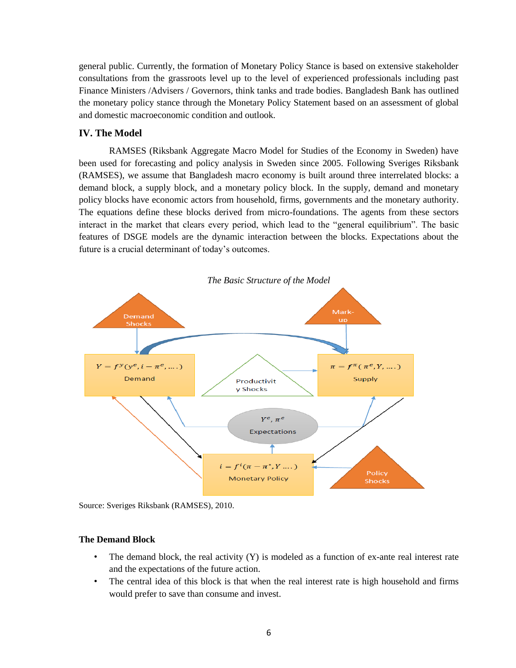general public. Currently, the formation of Monetary Policy Stance is based on extensive stakeholder consultations from the grassroots level up to the level of experienced professionals including past Finance Ministers /Advisers / Governors, think tanks and trade bodies. Bangladesh Bank has outlined the monetary policy stance through the Monetary Policy Statement based on an assessment of global and domestic macroeconomic condition and outlook.

# **IV. The Model**

RAMSES (Riksbank Aggregate Macro Model for Studies of the Economy in Sweden) have been used for forecasting and policy analysis in Sweden since 2005. Following Sveriges Riksbank (RAMSES), we assume that Bangladesh macro economy is built around three interrelated blocks: a demand block, a supply block, and a monetary policy block. In the supply, demand and monetary policy blocks have economic actors from household, firms, governments and the monetary authority. The equations define these blocks derived from micro-foundations. The agents from these sectors interact in the market that clears every period, which lead to the "general equilibrium". The basic features of DSGE models are the dynamic interaction between the blocks. Expectations about the future is a crucial determinant of today's outcomes.



Source: Sveriges Riksbank (RAMSES), 2010.

#### **The Demand Block**

- The demand block, the real activity  $(Y)$  is modeled as a function of ex-ante real interest rate and the expectations of the future action.
- The central idea of this block is that when the real interest rate is high household and firms would prefer to save than consume and invest.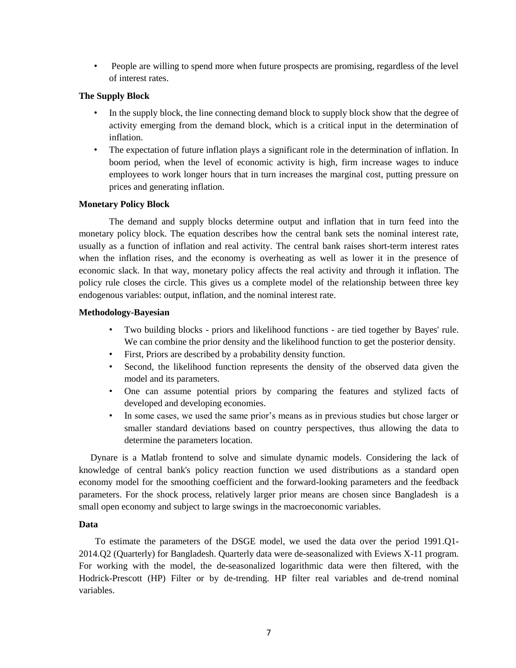• People are willing to spend more when future prospects are promising, regardless of the level of interest rates.

# **The Supply Block**

- In the supply block, the line connecting demand block to supply block show that the degree of activity emerging from the demand block, which is a critical input in the determination of inflation.
- The expectation of future inflation plays a significant role in the determination of inflation. In boom period, when the level of economic activity is high, firm increase wages to induce employees to work longer hours that in turn increases the marginal cost, putting pressure on prices and generating inflation.

# **Monetary Policy Block**

The demand and supply blocks determine output and inflation that in turn feed into the monetary policy block. The equation describes how the central bank sets the nominal interest rate, usually as a function of inflation and real activity. The central bank raises short-term interest rates when the inflation rises, and the economy is overheating as well as lower it in the presence of economic slack. In that way, monetary policy affects the real activity and through it inflation. The policy rule closes the circle. This gives us a complete model of the relationship between three key endogenous variables: output, inflation, and the nominal interest rate.

# **Methodology-Bayesian**

- Two building blocks priors and likelihood functions are tied together by Bayes' rule. We can combine the prior density and the likelihood function to get the posterior density.
- First, Priors are described by a probability density function.
- Second, the likelihood function represents the density of the observed data given the model and its parameters.
- One can assume potential priors by comparing the features and stylized facts of developed and developing economies.
- In some cases, we used the same prior's means as in previous studies but chose larger or smaller standard deviations based on country perspectives, thus allowing the data to determine the parameters location.

 Dynare is a Matlab frontend to solve and simulate dynamic models. Considering the lack of knowledge of central bank's policy reaction function we used distributions as a standard open economy model for the smoothing coefficient and the forward-looking parameters and the feedback parameters. For the shock process, relatively larger prior means are chosen since Bangladesh is a small open economy and subject to large swings in the macroeconomic variables.

# **Data**

 To estimate the parameters of the DSGE model, we used the data over the period 1991.Q1- 2014.Q2 (Quarterly) for Bangladesh. Quarterly data were de-seasonalized with Eviews X-11 program. For working with the model, the de-seasonalized logarithmic data were then filtered, with the Hodrick-Prescott (HP) Filter or by de-trending. HP filter real variables and de-trend nominal variables.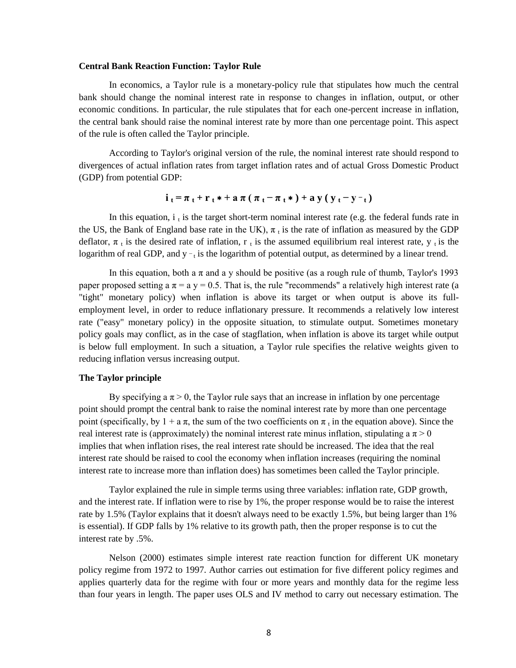#### **Central Bank Reaction Function: Taylor Rule**

In [economics,](https://en.wikipedia.org/wiki/Economics) a Taylor rule is a [monetary-policy](https://en.wikipedia.org/wiki/Monetary_policy) rule that stipulates how much the [central](https://en.wikipedia.org/wiki/Central_bank)  [bank](https://en.wikipedia.org/wiki/Central_bank) should change the [nominal interest rate](https://en.wikipedia.org/wiki/Nominal_interest_rate) in response to changes in [inflation,](https://en.wikipedia.org/wiki/Inflation) [output,](https://en.wikipedia.org/wiki/Gross_Domestic_Product) or other economic conditions. In particular, the rule stipulates that for each one-percent increase in inflation, the central bank should raise the nominal interest rate by more than one percentage point. This aspect of the rule is often called the Taylor principle.

According to Taylor's original version of the rule, the nominal interest rate should respond to divergences of actual inflation rates from target inflation rates and of actual [Gross Domestic Product](https://en.wikipedia.org/wiki/Gross_Domestic_Product) (GDP) from potential GDP:

$$
i_t = \pi_t + r_t * + a \pi (\pi_t - \pi_t *) + a y (y_t - y -_t)
$$

In this equation,  $i_t$  is the target short-term [nominal interest rate](https://en.wikipedia.org/wiki/Nominal_interest_rate) (e.g. the [federal funds rate](https://en.wikipedia.org/wiki/Federal_funds_rate) in the US, the [Bank of England base rate](https://en.wikipedia.org/wiki/Official_bank_rate) in the UK),  $\pi_t$  is the rate of [inflation](https://en.wikipedia.org/wiki/Inflation) as measured by the GDP [deflator,](https://en.wikipedia.org/wiki/GDP_deflator)  $\pi_t$  is the desired rate of inflation, r<sub>t</sub> is the assumed equilibrium real interest rate, y<sub>t</sub> is the logarithm of real [GDP,](https://en.wikipedia.org/wiki/Gross_Domestic_Product) and  $y - t$  is the logarithm of [potential output,](https://en.wikipedia.org/wiki/Potential_output) as determined by a linear trend.

In this equation, both a  $\pi$  and a y should be positive (as a rough rule of thumb, Taylor's 1993 paper proposed setting a  $\pi = a$  y = 0.5. That is, the rule "recommends" a relatively high interest rate (a "tight" monetary policy) when inflation is above its target or when output is above its [full](https://en.wikipedia.org/wiki/Full_employment)[employment](https://en.wikipedia.org/wiki/Full_employment) level, in order to reduce inflationary pressure. It recommends a relatively low interest rate ("easy" monetary policy) in the opposite situation, to stimulate output. Sometimes monetary policy goals may conflict, as in the case of [stagflation,](https://en.wikipedia.org/wiki/Stagflation) when inflation is above its target while output is below full employment. In such a situation, a Taylor rule specifies the relative weights given to reducing inflation versus increasing output.

# **The Taylor principle**

By specifying a  $\pi > 0$ , the Taylor rule says that an increase in inflation by one percentage point should prompt the [central bank](https://en.wikipedia.org/wiki/Central_bank) to raise the [nominal interest rate](https://en.wikipedia.org/wiki/Nominal_interest_rate) by more than one percentage point (specifically, by  $1 + a\pi$ , the sum of the two coefficients on  $\pi_t$  in the equation above). Since the [real interest rate](https://en.wikipedia.org/wiki/Real_interest_rate) is (approximately) the nominal interest rate minus inflation, stipulating a  $\pi > 0$ implies that when inflation rises, the [real interest rate](https://en.wikipedia.org/wiki/Real_interest_rate) should be increased. The idea that the real interest rate should be raised to cool the economy when inflation increases (requiring the nominal interest rate to increase more than inflation does) has sometimes been called the Taylor principle.

Taylor explained the rule in simple terms using three variables: inflation rate, GDP growth, and the interest rate. If inflation were to rise by 1%, the proper response would be to raise the interest rate by 1.5% (Taylor explains that it doesn't always need to be exactly 1.5%, but being larger than 1% is essential). If GDP falls by 1% relative to its growth path, then the proper response is to cut the interest rate by .5%.

Nelson (2000) estimates simple interest rate reaction function for different UK monetary policy regime from 1972 to 1997. Author carries out estimation for five different policy regimes and applies quarterly data for the regime with four or more years and monthly data for the regime less than four years in length. The paper uses OLS and IV method to carry out necessary estimation. The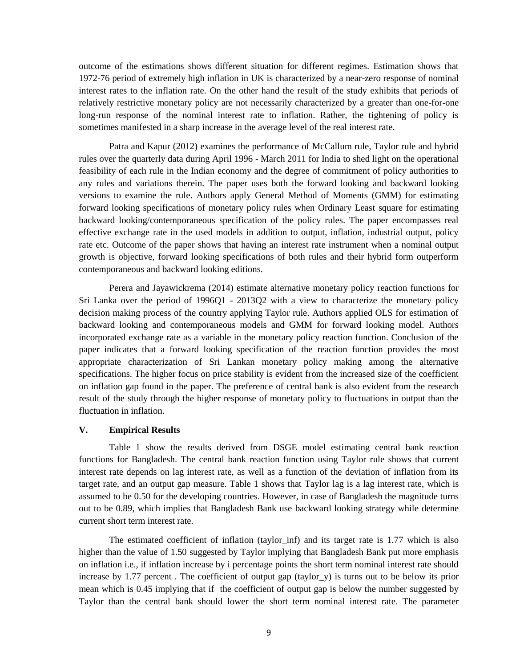outcome of the estimations shows different situation for different regimes. Estimation shows that 1972-76 period of extremely high inflation in UK is characterized by a near-zero response of nominal interest rates to the inflation rate. On the other hand the result of the study exhibits that periods of relatively restrictive monetary policy are not necessarily characterized by a greater than one-for-one long-run response of the nominal interest rate to inflation. Rather, the tightening of policy is sometimes manifested in a sharp increase in the average level of the real interest rate.

Patra and Kapur (2012) examines the performance of McCallum rule, Taylor rule and hybrid rules over the quarterly data during April 1996 - March 2011 for India to shed light on the operational feasibility of each rule in the Indian economy and the degree of commitment of policy authorities to any rules and variations therein. The paper uses both the forward looking and backward looking versions to examine the rule. Authors apply General Method of Moments (GMM) for estimating forward looking specifications of monetary policy rules when Ordinary Least square for estimating backward looking/contemporaneous specification of the policy rules. The paper encompasses real effective exchange rate in the used models in addition to output, inflation, industrial output, policy rate etc. Outcome of the paper shows that having an interest rate instrument when a nominal output growth is objective, forward looking specifications of both rules and their hybrid form outperform contemporaneous and backward looking editions.

Perera and Jayawickrema (2014) estimate alternative monetary policy reaction functions for Sri Lanka over the period of 1996Q1 - 2013Q2 with a view to characterize the monetary policy decision making process of the country applying Taylor rule. Authors applied OLS for estimation of backward looking and contemporaneous models and GMM for forward looking model. Authors incorporated exchange rate as a variable in the monetary policy reaction function. Conclusion of the paper indicates that a forward looking specification of the reaction function provides the most appropriate characterization of Sri Lankan monetary policy making among the alternative specifications. The higher focus on price stability is evident from the increased size of the coefficient on inflation gap found in the paper. The preference of central bank is also evident from the research result of the study through the higher response of monetary policy to fluctuations in output than the fluctuation in inflation.

#### **V. Empirical Results**

Table 1 show the results derived from DSGE model estimating central bank reaction functions for Bangladesh. The central bank reaction function using Taylor rule shows that current interest rate depends on lag interest rate, as well as a function of the deviation of inflation from its target rate, and an output gap measure. Table 1 shows that Taylor lag is a lag interest rate, which is assumed to be 0.50 for the developing countries. However, in case of Bangladesh the magnitude turns out to be 0.89, which implies that Bangladesh Bank use backward looking strategy while determine current short term interest rate.

The estimated coefficient of inflation (taylor\_inf) and its target rate is 1.77 which is also higher than the value of 1.50 suggested by Taylor implying that Bangladesh Bank put more emphasis on inflation i.e., if inflation increase by i percentage points the short term nominal interest rate should increase by 1.77 percent. The coefficient of output gap (taylor  $y$ ) is turns out to be below its prior mean which is 0.45 implying that if the coefficient of output gap is below the number suggested by Taylor than the central bank should lower the short term nominal interest rate. The parameter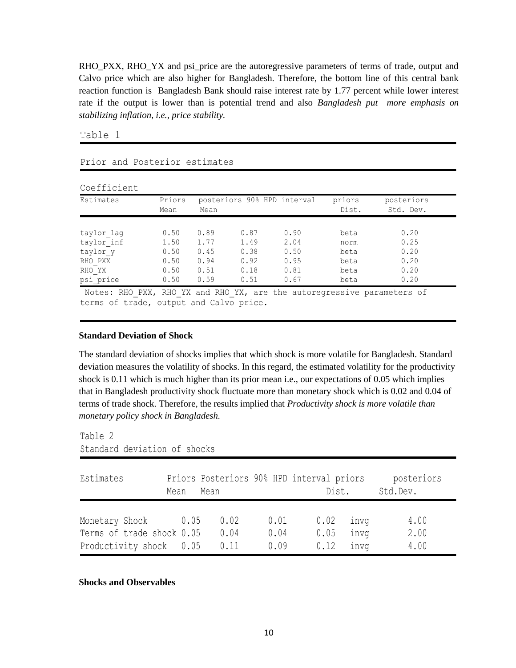RHO\_PXX, RHO\_YX and psi\_price are the autoregressive parameters of terms of trade, output and Calvo price which are also higher for Bangladesh. Therefore, the bottom line of this central bank reaction function is Bangladesh Bank should raise interest rate by 1.77 percent while lower interest rate if the output is lower than is potential trend and also *Bangladesh put more emphasis on stabilizing inflation, i.e., price stability.*

Table 1

| Estimates  | Priors<br>posteriors 90% HPD interval |      |      | priors | posteriors |           |
|------------|---------------------------------------|------|------|--------|------------|-----------|
|            | Mean                                  | Mean |      |        | Dist.      | Std. Dev. |
| taylor lag | 0.50                                  | 0.89 | 0.87 | 0.90   | beta       | 0.20      |
| taylor inf | 1.50                                  | 1.77 | 1.49 | 2.04   | norm       | 0.25      |
| taylor y   | 0.50                                  | 0.45 | 0.38 | 0.50   | beta       | 0.20      |
| RHO PXX    | 0.50                                  | 0.94 | 0.92 | 0.95   | beta       | 0.20      |
| RHO YX     | 0.50                                  | 0.51 | 0.18 | 0.81   | beta       | 0.20      |
| psi price  | 0.50                                  | 0.59 | 0.51 | 0.67   | beta       | 0.20      |

#### Notes: RHO\_PXX, RHO\_YX and RHO\_YX, are the autoregressive parameters of terms of trade, output and Calvo price.

#### **Standard Deviation of Shock**

Prior and Posterior estimates

The standard deviation of shocks implies that which shock is more volatile for Bangladesh. Standard deviation measures the volatility of shocks. In this regard, the estimated volatility for the productivity shock is 0.11 which is much higher than its prior mean i.e., our expectations of 0.05 which implies that in Bangladesh productivity shock fluctuate more than monetary shock which is 0.02 and 0.04 of terms of trade shock. Therefore, the results implied that *Productivity shock is more volatile than monetary policy shock in Bangladesh.*

Table 2

```
Standard deviation of shocks
```

| Estimates                                        | Mean | Mean         |              | Priors Posteriors 90% HPD interval priors<br>Dist. |              | posteriors<br>Std.Dev. |
|--------------------------------------------------|------|--------------|--------------|----------------------------------------------------|--------------|------------------------|
| Monetary Shock 0.05<br>Terms of trade shock 0.05 |      | 0.02<br>0.04 | 0.01<br>0.04 | 0.02<br>0.05                                       | invq<br>invq | 4.00<br>2.00           |
| Productivity shock 0.05                          |      | 0.11         | 0.09         | 0.12                                               | inva         | 4.00                   |

# **Shocks and Observables**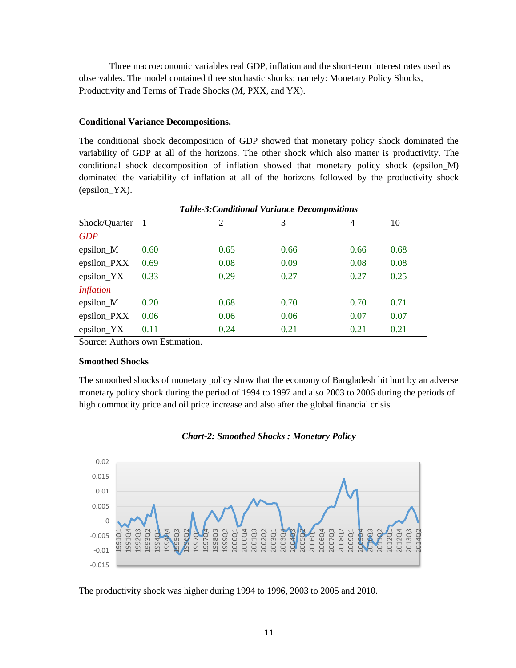Three macroeconomic variables real GDP, inflation and the short-term interest rates used as observables. The model contained three stochastic shocks: namely: Monetary Policy Shocks, Productivity and Terms of Trade Shocks (M, PXX, and YX).

# **Conditional Variance Decompositions.**

The conditional shock decomposition of GDP showed that monetary policy shock dominated the variability of GDP at all of the horizons. The other shock which also matter is productivity. The conditional shock decomposition of inflation showed that monetary policy shock (epsilon\_M) dominated the variability of inflation at all of the horizons followed by the productivity shock (epsilon\_YX).

|                  |      | Table-5:Conditional variance Decompositions |      |      |      |
|------------------|------|---------------------------------------------|------|------|------|
| Shock/Quarter    | - 1  | $\overline{2}$                              | 3    | 4    | 10   |
| <b>GDP</b>       |      |                                             |      |      |      |
| epsilon_M        | 0.60 | 0.65                                        | 0.66 | 0.66 | 0.68 |
| epsilon_PXX      | 0.69 | 0.08                                        | 0.09 | 0.08 | 0.08 |
| epsilon_YX       | 0.33 | 0.29                                        | 0.27 | 0.27 | 0.25 |
| <i>Inflation</i> |      |                                             |      |      |      |
| epsilon_M        | 0.20 | 0.68                                        | 0.70 | 0.70 | 0.71 |
| epsilon_PXX      | 0.06 | 0.06                                        | 0.06 | 0.07 | 0.07 |
| epsilon_YX       | 0.11 | 0.24                                        | 0.21 | 0.21 | 0.21 |

*Table-3:Conditional Variance Decompositions*

Source: Authors own Estimation.

#### **Smoothed Shocks**

The smoothed shocks of monetary policy show that the economy of Bangladesh hit hurt by an adverse monetary policy shock during the period of 1994 to 1997 and also 2003 to 2006 during the periods of high commodity price and oil price increase and also after the global financial crisis.





The productivity shock was higher during 1994 to 1996, 2003 to 2005 and 2010.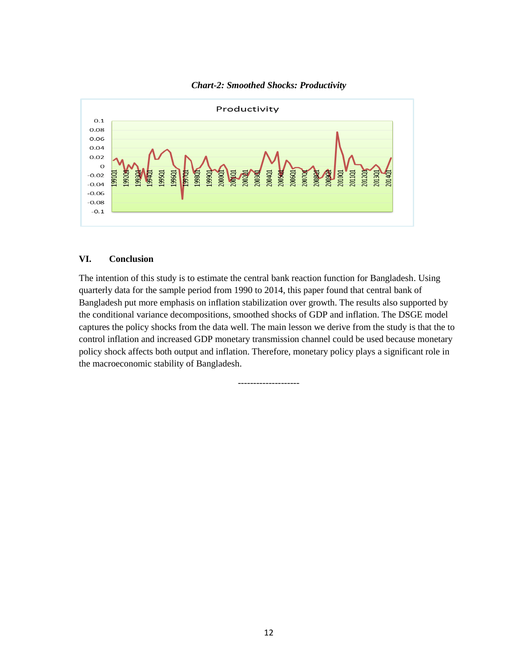

*Chart-2: Smoothed Shocks: Productivity*

# **VI. Conclusion**

The intention of this study is to estimate the central bank reaction function for Bangladesh. Using quarterly data for the sample period from 1990 to 2014, this paper found that central bank of Bangladesh put more emphasis on inflation stabilization over growth. The results also supported by the conditional variance decompositions, smoothed shocks of GDP and inflation. The DSGE model captures the policy shocks from the data well. The main lesson we derive from the study is that the to control inflation and increased GDP monetary transmission channel could be used because monetary policy shock affects both output and inflation. Therefore, monetary policy plays a significant role in the macroeconomic stability of Bangladesh.

--------------------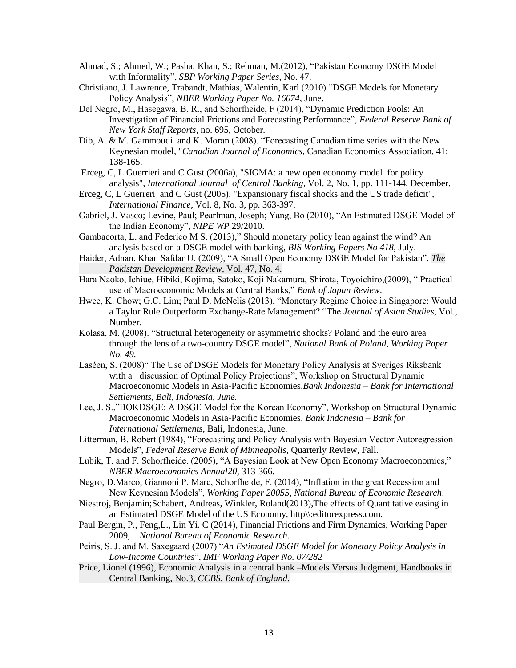- Ahmad, S.; Ahmed, W.; Pasha; Khan, S.; Rehman, M.(2012), "Pakistan Economy DSGE Model with Informality", *SBP Working Paper Series*, No. 47.
- Christiano, J. Lawrence, Trabandt, Mathias, Walentin, Karl (2010) "DSGE Models for Monetary Policy Analysis", *NBER Working Paper No. 16074*, June.
- Del Negro, M., Hasegawa, B. R., and Schorfheide, F (2014), "Dynamic Prediction Pools: An Investigation of Financial Frictions and Forecasting Performance", *Federal Reserve Bank of New York Staff Reports*, no. 695, October.
- Dib, A. & M. Gammoudi and K. Moran (2008). "Forecasting Canadian time series with the New Keynesian model, "*Canadian Journal of Economics*, Canadian Economics Association, 41: 138-165.
- Erceg, C, L Guerrieri and C Gust (2006a), "SIGMA: a new open economy model for policy analysis", *International Journal of Central Banking*, Vol. 2, No. 1, pp. 111-144, December.
- Erceg, C, L Guerreri and C Gust (2005), "Expansionary fiscal shocks and the US trade deficit", *International Finance,* Vol. 8, No. 3, pp. 363-397.
- Gabriel, J. Vasco; Levine, Paul; Pearlman, Joseph; Yang, Bo (2010), "An Estimated DSGE Model of the Indian Economy", *NIPE WP* 29/2010.
- Gambacorta, L. and Federico M S. (2013)," Should monetary policy lean against the wind? An analysis based on a DSGE model with banking, *BIS Working Papers No 418*, July.
- Haider, Adnan, Khan Safdar U. (2009), "A Small Open Economy DSGE Model for Pakistan", *The Pakistan Development Review,* Vol. 47, No. 4.
- Hara Naoko, Ichiue, Hibiki, Kojima, Satoko, Koji Nakamura, Shirota, Toyoichiro,(2009), " Practical use of Macroeconomic Models at Central Banks," *Bank of Japan Review*.
- Hwee, K. Chow; G.C. Lim; Paul D. McNelis (2013), "Monetary Regime Choice in Singapore: Would a Taylor Rule Outperform Exchange-Rate Management? "The *Journal of Asian Studies*, Vol., Number.
- Kolasa, M. (2008). "Structural heterogeneity or asymmetric shocks? Poland and the euro area through the lens of a two-country DSGE model", *National Bank of Poland, Working Paper No. 49.*
- Laséen, S. (2008)" The Use of DSGE Models for Monetary Policy Analysis at Sveriges Riksbank with a discussion of Optimal Policy Projections", Workshop on Structural Dynamic Macroeconomic Models in Asia-Pacific Economies,*Bank Indonesia – Bank for International Settlements, Bali, Indonesia, June.*
- Lee, J. S.,"BOKDSGE: A DSGE Model for the Korean Economy", Workshop on Structural Dynamic Macroeconomic Models in Asia-Pacific Economies, *Bank Indonesia – Bank for International Settlements,* Bali, Indonesia, June.
- Litterman, B. Robert (1984), "Forecasting and Policy Analysis with Bayesian Vector Autoregression Models", *Federal Reserve Bank of Minneapolis*, Quarterly Review, Fall.
- Lubik, T. and F. Schorfheide. (2005), "A Bayesian Look at New Open Economy Macroeconomics," *NBER Macroeconomics Annual20,* 313-366.
- Negro, D.Marco, Giannoni P. Marc, Schorfheide, F. (2014), "Inflation in the great Recession and New Keynesian Models", *Working Paper 20055, National Bureau of Economic Research*.
- Niestroj, Benjamin;Schabert, Andreas, Winkler, Roland(2013),The effects of Quantitative easing in an Estimated DSGE Model of the US Economy, http\\:editorexpress.com.
- Paul Bergin, P., Feng,L., Lin Yi. C (2014), Financial Frictions and Firm Dynamics, Working Paper 2009, *National Bureau of Economic Research*.
- Peiris, S. J. and M. Saxegaard (2007) "*An Estimated DSGE Model for Monetary Policy Analysis in Low-Income Countries*", *IMF Working Paper No. 07/282*
- Price, Lionel (1996), Economic Analysis in a central bank –Models Versus Judgment, Handbooks in Central Banking, No.3, *CCBS, Bank of England.*